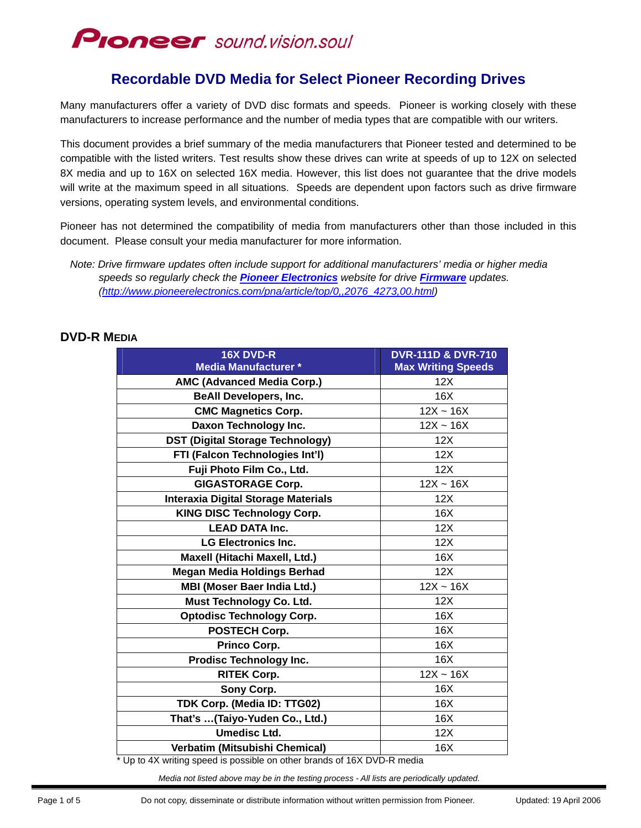## **Proneer** sound.vision.soul

### **Recordable DVD Media for Select Pioneer Recording Drives**

Many manufacturers offer a variety of DVD disc formats and speeds. Pioneer is working closely with these manufacturers to increase performance and the number of media types that are compatible with our writers.

This document provides a brief summary of the media manufacturers that Pioneer tested and determined to be compatible with the listed writers. Test results show these drives can write at speeds of up to 12X on selected 8X media and up to 16X on selected 16X media. However, this list does not guarantee that the drive models will write at the maximum speed in all situations. Speeds are dependent upon factors such as drive firmware versions, operating system levels, and environmental conditions.

Pioneer has not determined the compatibility of media from manufacturers other than those included in this document. Please consult your media manufacturer for more information.

*Note: Drive firmware updates often include support for additional manufacturers' media or higher media speeds so regularly check the [Pioneer Electronics](http://www.pioneerelectronics.com/) website for drive [Firmware](http://www.pioneerelectronics.com/pna/article/top/0,,2076_4273,00.html) updates. ([http://www.pioneerelectronics.com/pna/article/top/0,,2076\\_4273,00.html\)](http://www.pioneerelectronics.com/pna/article/top/0,,2076_4273,00.html)* 

| 16X DVD-R                                  | <b>DVR-111D &amp; DVR-710</b> |
|--------------------------------------------|-------------------------------|
| <b>Media Manufacturer *</b>                | <b>Max Writing Speeds</b>     |
| <b>AMC (Advanced Media Corp.)</b>          | 12X                           |
| <b>BeAll Developers, Inc.</b>              | 16X                           |
| <b>CMC Magnetics Corp.</b>                 | $12X - 16X$                   |
| Daxon Technology Inc.                      | $12X - 16X$                   |
| <b>DST (Digital Storage Technology)</b>    | 12X                           |
| FTI (Falcon Technologies Int'l)            | 12X                           |
| Fuji Photo Film Co., Ltd.                  | 12X                           |
| <b>GIGASTORAGE Corp.</b>                   | $12X - 16X$                   |
| <b>Interaxia Digital Storage Materials</b> | 12X                           |
| <b>KING DISC Technology Corp.</b>          | 16X                           |
| <b>LEAD DATA Inc.</b>                      | 12X                           |
| <b>LG Electronics Inc.</b>                 | 12X                           |
| Maxell (Hitachi Maxell, Ltd.)              | 16X                           |
| <b>Megan Media Holdings Berhad</b>         | 12X                           |
| <b>MBI (Moser Baer India Ltd.)</b>         | $12X - 16X$                   |
| Must Technology Co. Ltd.                   | 12X                           |
| <b>Optodisc Technology Corp.</b>           | 16X                           |
| POSTECH Corp.                              | 16X                           |
| Princo Corp.                               | 16X                           |
| <b>Prodisc Technology Inc.</b>             | 16X                           |
| <b>RITEK Corp.</b>                         | $12X - 16X$                   |
| Sony Corp.                                 | 16X                           |
| TDK Corp. (Media ID: TTG02)                | 16X                           |
| That's (Taiyo-Yuden Co., Ltd.)             | 16X                           |
| <b>Umedisc Ltd.</b>                        | 12X                           |
| Verbatim (Mitsubishi Chemical)             | 16X                           |

### **DVD-R MEDIA**

\* Up to 4X writing speed is possible on other brands of 16X DVD-R media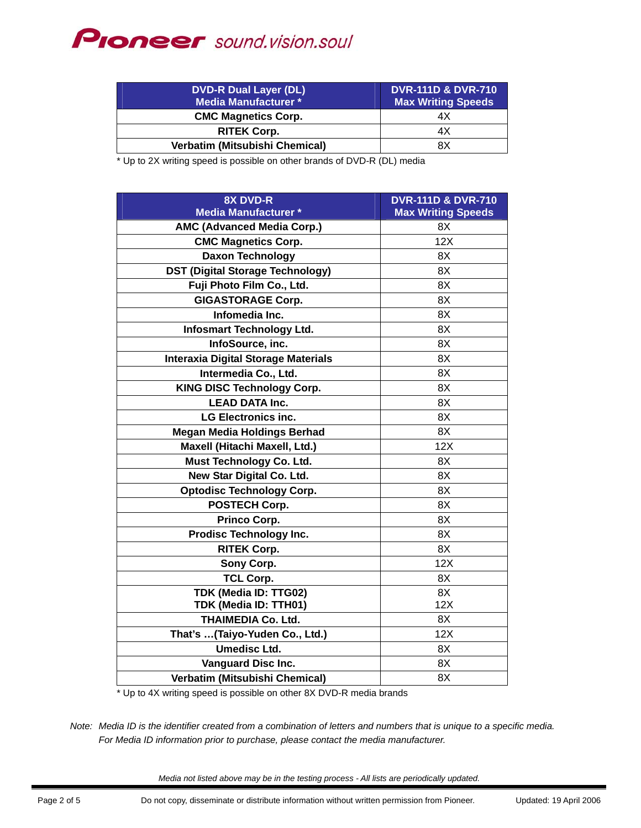## **PIONEEr** sound.vision.soul

| <b>DVD-R Dual Layer (DL)</b><br>Media Manufacturer * | <b>DVR-111D &amp; DVR-710</b><br><b>Max Writing Speeds</b> |
|------------------------------------------------------|------------------------------------------------------------|
| <b>CMC Magnetics Corp.</b>                           | 4Х                                                         |
| <b>RITEK Corp.</b>                                   | 4Х                                                         |
| <b>Verbatim (Mitsubishi Chemical)</b>                | 8X                                                         |

\* Up to 2X writing speed is possible on other brands of DVD-R (DL) media

| <b>8X DVD-R</b>                            | <b>DVR-111D &amp; DVR-710</b> |
|--------------------------------------------|-------------------------------|
| <b>Media Manufacturer *</b>                | <b>Max Writing Speeds</b>     |
| <b>AMC (Advanced Media Corp.)</b>          | 8X                            |
| <b>CMC Magnetics Corp.</b>                 | 12X                           |
| <b>Daxon Technology</b>                    | 8X                            |
| <b>DST (Digital Storage Technology)</b>    | 8X                            |
| Fuji Photo Film Co., Ltd.                  | 8X                            |
| <b>GIGASTORAGE Corp.</b>                   | 8X                            |
| Infomedia Inc.                             | 8X                            |
| <b>Infosmart Technology Ltd.</b>           | 8X                            |
| InfoSource, inc.                           | 8X                            |
| <b>Interaxia Digital Storage Materials</b> | 8X                            |
| Intermedia Co., Ltd.                       | 8X                            |
| <b>KING DISC Technology Corp.</b>          | 8X                            |
| <b>LEAD DATA Inc.</b>                      | 8X                            |
| <b>LG Electronics inc.</b>                 | 8X                            |
| <b>Megan Media Holdings Berhad</b>         | 8X                            |
| Maxell (Hitachi Maxell, Ltd.)              | 12X                           |
| Must Technology Co. Ltd.                   | 8X                            |
| New Star Digital Co. Ltd.                  | 8X                            |
| <b>Optodisc Technology Corp.</b>           | 8X                            |
| <b>POSTECH Corp.</b>                       | 8X                            |
| Princo Corp.                               | 8X                            |
| <b>Prodisc Technology Inc.</b>             | 8X                            |
| <b>RITEK Corp.</b>                         | 8X                            |
| Sony Corp.                                 | 12X                           |
| <b>TCL Corp.</b>                           | 8X                            |
| TDK (Media ID: TTG02)                      | 8X                            |
| TDK (Media ID: TTH01)                      | 12X                           |
| <b>THAIMEDIA Co. Ltd.</b>                  | 8X                            |
| That's (Taiyo-Yuden Co., Ltd.)             | 12X                           |
| <b>Umedisc Ltd.</b>                        | 8X                            |
| <b>Vanguard Disc Inc.</b>                  | 8X                            |
| Verbatim (Mitsubishi Chemical)             | 8X                            |

\* Up to 4X writing speed is possible on other 8X DVD-R media brands

*Note: Media ID is the identifier created from a combination of letters and numbers that is unique to a specific media. For Media ID information prior to purchase, please contact the media manufacturer.*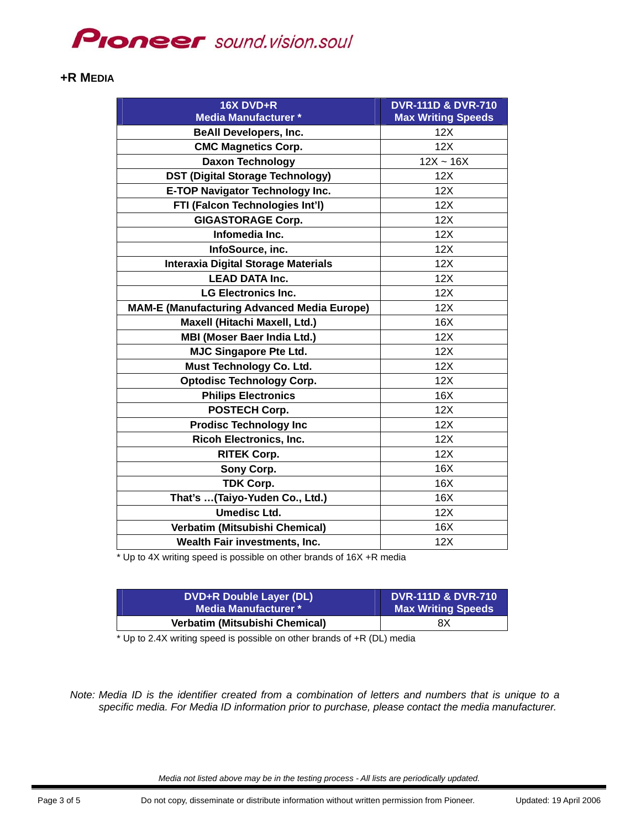## **Proneer** sound.vision.soul

#### **+R MEDIA**

| 16X DVD+R<br><b>Media Manufacturer *</b>           | <b>DVR-111D &amp; DVR-710</b><br><b>Max Writing Speeds</b> |
|----------------------------------------------------|------------------------------------------------------------|
| <b>BeAll Developers, Inc.</b>                      | 12X                                                        |
| <b>CMC Magnetics Corp.</b>                         | 12X                                                        |
| <b>Daxon Technology</b>                            | $12X - 16X$                                                |
| <b>DST (Digital Storage Technology)</b>            | 12X                                                        |
| <b>E-TOP Navigator Technology Inc.</b>             | 12X                                                        |
| FTI (Falcon Technologies Int'l)                    | 12X                                                        |
| <b>GIGASTORAGE Corp.</b>                           | 12X                                                        |
| Infomedia Inc.                                     | 12X                                                        |
| InfoSource, inc.                                   | 12X                                                        |
| <b>Interaxia Digital Storage Materials</b>         | 12X                                                        |
| <b>LEAD DATA Inc.</b>                              | 12X                                                        |
| <b>LG Electronics Inc.</b>                         | 12X                                                        |
| <b>MAM-E (Manufacturing Advanced Media Europe)</b> | 12X                                                        |
| Maxell (Hitachi Maxell, Ltd.)                      | 16X                                                        |
| <b>MBI (Moser Baer India Ltd.)</b>                 | 12X                                                        |
| <b>MJC Singapore Pte Ltd.</b>                      | 12X                                                        |
| Must Technology Co. Ltd.                           | 12X                                                        |
| <b>Optodisc Technology Corp.</b>                   | 12X                                                        |
| <b>Philips Electronics</b>                         | 16X                                                        |
| POSTECH Corp.                                      | 12X                                                        |
| <b>Prodisc Technology Inc</b>                      | 12X                                                        |
| <b>Ricoh Electronics, Inc.</b>                     | 12X                                                        |
| <b>RITEK Corp.</b>                                 | 12X                                                        |
| Sony Corp.                                         | 16X                                                        |
| <b>TDK Corp.</b>                                   | 16X                                                        |
| That's (Taiyo-Yuden Co., Ltd.)                     | 16X                                                        |
| <b>Umedisc Ltd.</b>                                | 12X                                                        |
| Verbatim (Mitsubishi Chemical)                     | 16X                                                        |
| Wealth Fair investments, Inc.                      | 12X                                                        |

\* Up to 4X writing speed is possible on other brands of 16X +R media

| DVD+R Double Layer (DL)        | <b>DVR-111D &amp; DVR-710</b> |
|--------------------------------|-------------------------------|
| Media Manufacturer * \         | <b>Max Writing Speeds</b>     |
| Verbatim (Mitsubishi Chemical) | 8Χ                            |

\* Up to 2.4X writing speed is possible on other brands of +R (DL) media

*Note: Media ID is the identifier created from a combination of letters and numbers that is unique to a specific media. For Media ID information prior to purchase, please contact the media manufacturer.*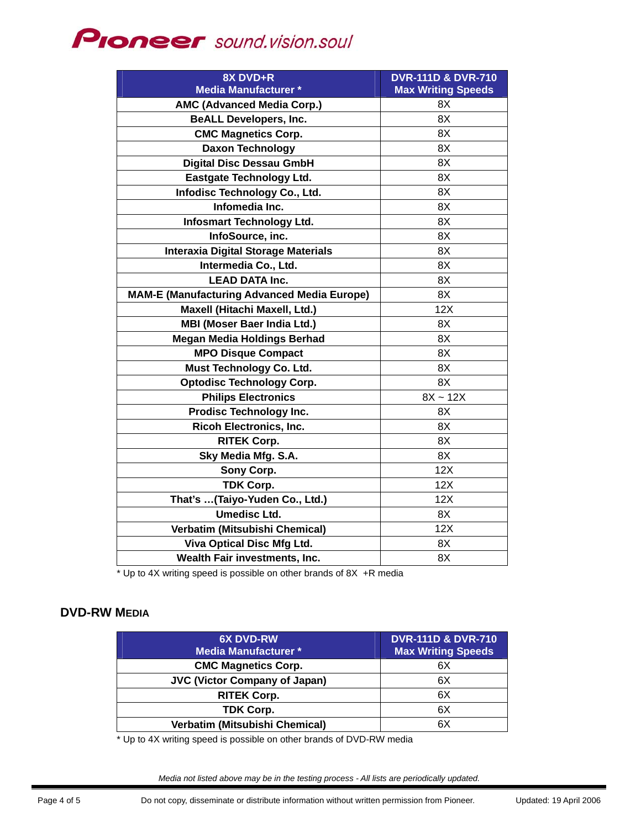# **PIONEEF** sound.vision.soul

| 8X DVD+R                                           | <b>DVR-111D &amp; DVR-710</b> |
|----------------------------------------------------|-------------------------------|
| <b>Media Manufacturer *</b>                        | <b>Max Writing Speeds</b>     |
| <b>AMC (Advanced Media Corp.)</b>                  | 8Χ                            |
| <b>BeALL Developers, Inc.</b>                      | 8X                            |
| <b>CMC Magnetics Corp.</b>                         | 8X                            |
| <b>Daxon Technology</b>                            | 8X                            |
| <b>Digital Disc Dessau GmbH</b>                    | 8X                            |
| <b>Eastgate Technology Ltd.</b>                    | 8X                            |
| Infodisc Technology Co., Ltd.                      | 8X                            |
| Infomedia Inc.                                     | 8X                            |
| <b>Infosmart Technology Ltd.</b>                   | 8X                            |
| InfoSource, inc.                                   | 8X                            |
| <b>Interaxia Digital Storage Materials</b>         | 8X                            |
| Intermedia Co., Ltd.                               | 8X                            |
| <b>LEAD DATA Inc.</b>                              | 8X                            |
| <b>MAM-E (Manufacturing Advanced Media Europe)</b> | 8X                            |
| Maxell (Hitachi Maxell, Ltd.)                      | 12X                           |
| <b>MBI (Moser Baer India Ltd.)</b>                 | 8X                            |
| <b>Megan Media Holdings Berhad</b>                 | 8X                            |
| <b>MPO Disque Compact</b>                          | 8X                            |
| Must Technology Co. Ltd.                           | 8X                            |
| <b>Optodisc Technology Corp.</b>                   | 8X                            |
| <b>Philips Electronics</b>                         | $8X - 12X$                    |
| <b>Prodisc Technology Inc.</b>                     | 8X                            |
| <b>Ricoh Electronics, Inc.</b>                     | 8X                            |
| <b>RITEK Corp.</b>                                 | 8X                            |
| Sky Media Mfg. S.A.                                | 8X                            |
| Sony Corp.                                         | 12X                           |
| <b>TDK Corp.</b>                                   | 12X                           |
| That's (Taiyo-Yuden Co., Ltd.)                     | 12X                           |
| <b>Umedisc Ltd.</b>                                | 8X                            |
| Verbatim (Mitsubishi Chemical)                     | 12X                           |
| Viva Optical Disc Mfg Ltd.                         | 8X                            |
| Wealth Fair investments, Inc.                      | 8X                            |

\* Up to 4X writing speed is possible on other brands of 8X +R media

### **DVD-RW MEDIA**

| <b>6X DVD-RW</b><br><b>Media Manufacturer *</b> | <b>DVR-111D &amp; DVR-710</b><br><b>Max Writing Speeds</b> |
|-------------------------------------------------|------------------------------------------------------------|
| <b>CMC Magnetics Corp.</b>                      | 6X                                                         |
| <b>JVC (Victor Company of Japan)</b>            | 6X                                                         |
| <b>RITEK Corp.</b>                              | 6X                                                         |
| <b>TDK Corp.</b>                                | 6X                                                         |
| Verbatim (Mitsubishi Chemical)                  | 6X                                                         |

\* Up to 4X writing speed is possible on other brands of DVD-RW media